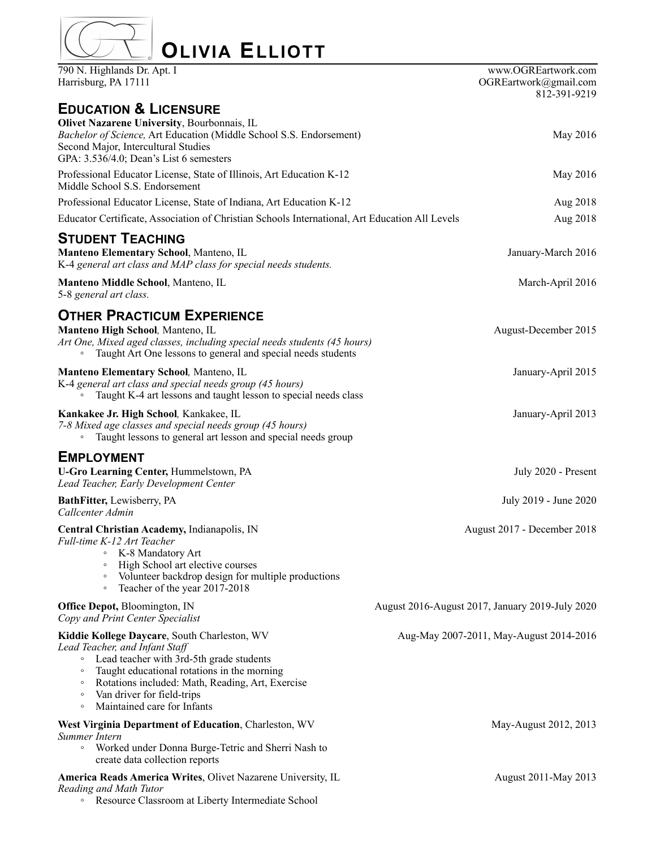| <b>OLIVIA ELLIOTT</b><br>790 N. Highlands Dr. Apt. I<br>Harrisburg, PA 17111                                                                                                                                                                                                                                                                      | www.OGREartwork.com<br>OGREartwork@gmail.com<br>812-391-9219 |
|---------------------------------------------------------------------------------------------------------------------------------------------------------------------------------------------------------------------------------------------------------------------------------------------------------------------------------------------------|--------------------------------------------------------------|
| <b>EDUCATION &amp; LICENSURE</b>                                                                                                                                                                                                                                                                                                                  |                                                              |
| <b>Olivet Nazarene University, Bourbonnais, IL</b><br>Bachelor of Science, Art Education (Middle School S.S. Endorsement)<br>Second Major, Intercultural Studies<br>GPA: 3.536/4.0; Dean's List 6 semesters                                                                                                                                       | May 2016                                                     |
| Professional Educator License, State of Illinois, Art Education K-12<br>Middle School S.S. Endorsement                                                                                                                                                                                                                                            | May 2016                                                     |
| Professional Educator License, State of Indiana, Art Education K-12                                                                                                                                                                                                                                                                               | Aug 2018                                                     |
| Educator Certificate, Association of Christian Schools International, Art Education All Levels                                                                                                                                                                                                                                                    | Aug 2018                                                     |
| <b>STUDENT TEACHING</b><br>Manteno Elementary School, Manteno, IL<br>K-4 general art class and MAP class for special needs students.                                                                                                                                                                                                              | January-March 2016                                           |
| <b>Manteno Middle School, Manteno, IL</b><br>5-8 general art class.                                                                                                                                                                                                                                                                               | March-April 2016                                             |
| <b>OTHER PRACTICUM EXPERIENCE</b><br>Manteno High School, Manteno, IL<br>Art One, Mixed aged classes, including special needs students (45 hours)<br>Taught Art One lessons to general and special needs students<br>$\circ$                                                                                                                      | August-December 2015                                         |
| <b>Manteno Elementary School, Manteno, IL</b><br>K-4 general art class and special needs group (45 hours)<br>Taught K-4 art lessons and taught lesson to special needs class                                                                                                                                                                      | January-April 2015                                           |
| Kankakee Jr. High School, Kankakee, IL<br>7-8 Mixed age classes and special needs group (45 hours)<br>Taught lessons to general art lesson and special needs group<br>$\circ$                                                                                                                                                                     | January-April 2013                                           |
| <b>EMPLOYMENT</b><br><b>U-Gro Learning Center, Hummelstown, PA</b><br>Lead Teacher, Early Development Center                                                                                                                                                                                                                                      | July 2020 - Present                                          |
| BathFitter, Lewisberry, PA<br>Callcenter Admin                                                                                                                                                                                                                                                                                                    | July 2019 - June 2020                                        |
| Central Christian Academy, Indianapolis, IN<br>Full-time K-12 Art Teacher<br>K-8 Mandatory Art<br>$\circ$<br>High School art elective courses<br>$\circ$<br>Volunteer backdrop design for multiple productions<br>Teacher of the year 2017-2018<br>$\circ$                                                                                        | August 2017 - December 2018                                  |
| Office Depot, Bloomington, IN<br>Copy and Print Center Specialist                                                                                                                                                                                                                                                                                 | August 2016-August 2017, January 2019-July 2020              |
| Kiddie Kollege Daycare, South Charleston, WV<br>Lead Teacher, and Infant Staff<br>Lead teacher with 3rd-5th grade students<br>$\circ$<br>Taught educational rotations in the morning<br>$\circ$<br>Rotations included: Math, Reading, Art, Exercise<br>$\circ$<br>Van driver for field-trips<br>$\circ$<br>Maintained care for Infants<br>$\circ$ | Aug-May 2007-2011, May-August 2014-2016                      |
| West Virginia Department of Education, Charleston, WV<br>Summer Intern<br>• Worked under Donna Burge-Tetric and Sherri Nash to<br>create data collection reports                                                                                                                                                                                  | May-August 2012, 2013                                        |
| America Reads America Writes, Olivet Nazarene University, IL<br>Reading and Math Tutor                                                                                                                                                                                                                                                            | August 2011-May 2013                                         |

◦ Resource Classroom at Liberty Intermediate School